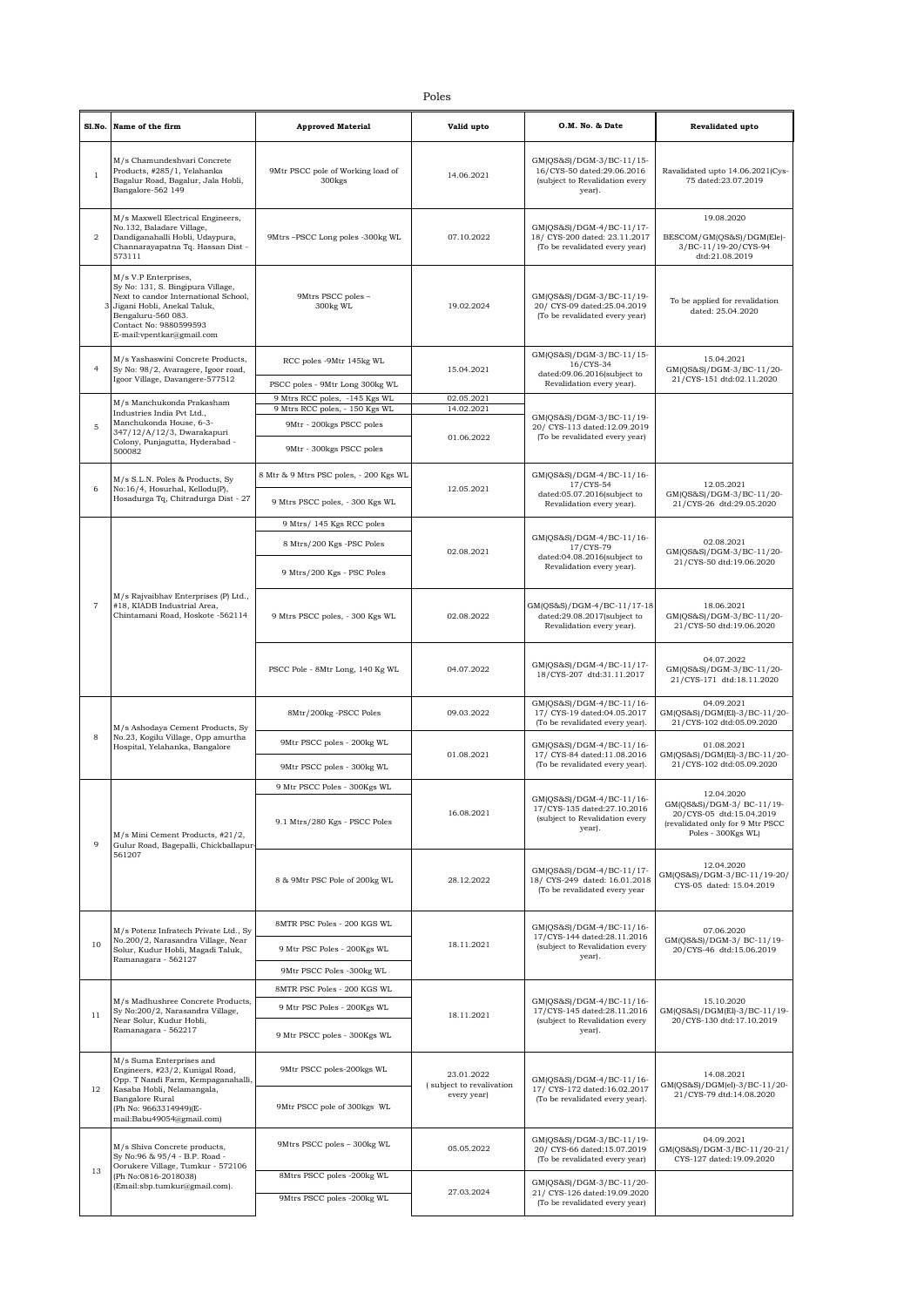|                | Sl.No. Name of the firm                                                                                                                                                                                       | <b>Approved Material</b>                                | Valid upto                                            | O.M. No. & Date                                                                                     | <b>Revalidated upto</b>                                                                                                      |
|----------------|---------------------------------------------------------------------------------------------------------------------------------------------------------------------------------------------------------------|---------------------------------------------------------|-------------------------------------------------------|-----------------------------------------------------------------------------------------------------|------------------------------------------------------------------------------------------------------------------------------|
| $\mathbf{1}$   | M/s Chamundeshvari Concrete<br>Products, #285/1, Yelahanka<br>Bagalur Road, Bagalur, Jala Hobli,<br>Bangalore-562 149                                                                                         | 9Mtr PSCC pole of Working load of<br>300 <sub>kgs</sub> | 14.06.2021                                            | GM(QS&S)/DGM-3/BC-11/15-<br>16/CYS-50 dated:29.06.2016<br>(subject to Revalidation every<br>year).  | Ravalidated upto 14.06.2021(Cys-<br>75 dated:23.07.2019                                                                      |
| $\overline{2}$ | M/s Maxwell Electrical Engineers,<br>No.132, Baladare Village,<br>Dandiganahalli Hobli, Udaypura,<br>Channarayapatna Tq. Hassan Dist -<br>573111                                                              | 9Mtrs-PSCC Long poles -300kg WL                         | 07.10.2022                                            | GM(QS&S)/DGM-4/BC-11/17-<br>18/ CYS-200 dated: 23.11.2017<br>(To be revalidated every year)         | 19.08.2020<br>BESCOM/GM(QS&S)/DGM(Ele)-<br>3/BC-11/19-20/CYS-94<br>dtd:21.08.2019                                            |
|                | M/s V.P Enterprises,<br>Sy No: 131, S. Bingipura Village,<br>Next to candor International School,<br>Jigani Hobli, Anekal Taluk,<br>Bengaluru-560 083.<br>Contact No: 9880599593<br>E-mail:vpentkar@gmail.com | 9Mtrs PSCC poles -<br>300kg WL                          | 19.02.2024                                            | GM(QS&S)/DGM-3/BC-11/19-<br>20/ CYS-09 dated:25.04.2019<br>(To be revalidated every year)           | To be applied for revalidation<br>dated: 25.04.2020                                                                          |
| $\overline{4}$ | M/s Yashaswini Concrete Products,<br>Sy No: 98/2, Avaragere, Igoor road,                                                                                                                                      | RCC poles -9Mtr 145kg WL                                | 15.04.2021                                            | GM(QS&S)/DGM-3/BC-11/15-<br>16/CYS-34<br>dated:09.06.2016(subject to                                | 15.04.2021<br>GM(QS&S)/DGM-3/BC-11/20-                                                                                       |
|                | Igoor Village, Davangere-577512                                                                                                                                                                               | PSCC poles - 9Mtr Long 300kg WL                         |                                                       | Revalidation every year).                                                                           | 21/CYS-151 dtd:02.11.2020                                                                                                    |
|                | M/s Manchukonda Prakasham                                                                                                                                                                                     | 9 Mtrs RCC poles, -145 Kgs WL                           | 02.05.2021                                            |                                                                                                     |                                                                                                                              |
|                | Industries India Pvt Ltd.,<br>Manchukonda House, 6-3-                                                                                                                                                         | 9 Mtrs RCC poles, - 150 Kgs WL                          | 14.02.2021                                            | GM(QS&S)/DGM-3/BC-11/19-                                                                            |                                                                                                                              |
| 5              | 347/12/A/12/3, Dwarakapuri                                                                                                                                                                                    | 9Mtr - 200kgs PSCC poles                                | 01.06.2022                                            | 20/ CYS-113 dated:12.09.2019<br>(To be revalidated every year)                                      |                                                                                                                              |
|                | Colony, Punjagutta, Hyderabad -<br>500082                                                                                                                                                                     | 9Mtr - 300kgs PSCC poles                                |                                                       |                                                                                                     |                                                                                                                              |
|                | M/s S.L.N. Poles & Products, Sy                                                                                                                                                                               | 8 Mtr & 9 Mtrs PSC poles, - 200 Kgs WL                  |                                                       | GM(QS&S)/DGM-4/BC-11/16-                                                                            |                                                                                                                              |
| 6              | No:16/4, Hosurhal, Kellodu(P),<br>Hosadurga Tq, Chitradurga Dist - 27                                                                                                                                         | 9 Mtrs PSCC poles, - 300 Kgs WL                         | 12.05.2021                                            | 17/CYS-54<br>dated:05.07.2016(subject to<br>Revalidation every year).                               | 12.05.2021<br>GM(QS&S)/DGM-3/BC-11/20-<br>21/CYS-26 dtd:29.05.2020                                                           |
|                |                                                                                                                                                                                                               | 9 Mtrs/ 145 Kgs RCC poles                               |                                                       |                                                                                                     |                                                                                                                              |
|                |                                                                                                                                                                                                               |                                                         |                                                       | GM(QS&S)/DGM-4/BC-11/16-                                                                            |                                                                                                                              |
|                |                                                                                                                                                                                                               | 8 Mtrs/200 Kgs -PSC Poles                               | 02.08.2021                                            | 17/CYS-79<br>dated:04.08.2016(subject to<br>Revalidation every year).                               | 02.08.2021<br>GM(QS&S)/DGM-3/BC-11/20-<br>21/CYS-50 dtd:19.06.2020                                                           |
|                |                                                                                                                                                                                                               | 9 Mtrs/200 Kgs - PSC Poles                              |                                                       |                                                                                                     |                                                                                                                              |
| $\overline{7}$ | M/s Rajvaibhav Enterprises (P) Ltd.,<br>#18, KIADB Industrial Area,<br>Chintamani Road, Hoskote -562114                                                                                                       | 9 Mtrs PSCC poles, - 300 Kgs WL                         | 02.08.2022                                            | GM(QS&S)/DGM-4/BC-11/17-18<br>dated:29.08.2017(subject to<br>Revalidation every year).              | 18.06.2021<br>GM(QS&S)/DGM-3/BC-11/20-<br>21/CYS-50 dtd:19.06.2020                                                           |
|                |                                                                                                                                                                                                               | PSCC Pole - 8Mtr Long, 140 Kg WL                        | 04.07.2022                                            | GM(QS&S)/DGM-4/BC-11/17-<br>18/CYS-207 dtd:31.11.2017                                               | 04.07.2022<br>GM(QS&S)/DGM-3/BC-11/20-<br>21/CYS-171 dtd:18.11.2020                                                          |
|                | M/s Ashodaya Cement Products, Sy<br>No.23, Kogilu Village, Opp amurtha<br>Hospital, Yelahanka, Bangalore                                                                                                      | 8Mtr/200kg -PSCC Poles                                  | 09.03.2022                                            | GM(QS&S)/DGM-4/BC-11/16-<br>17/ CYS-19 dated:04.05.2017<br>(To be revalidated every year).          | 04.09.2021<br>GM(QS&S)/DGM(El)-3/BC-11/20-<br>21/CYS-102 dtd:05.09.2020                                                      |
| 8              |                                                                                                                                                                                                               | 9Mtr PSCC poles - 200kg WL                              | 01.08.2021                                            | GM(QS&S)/DGM-4/BC-11/16-<br>17/ CYS-84 dated:11.08.2016                                             | 01.08.2021<br>GM(QS&S)/DGM(El)-3/BC-11/20-                                                                                   |
|                |                                                                                                                                                                                                               | 9Mtr PSCC poles - 300kg WL                              |                                                       | (To be revalidated every year).                                                                     | 21/CYS-102 dtd:05.09.2020                                                                                                    |
|                |                                                                                                                                                                                                               | 9 Mtr PSCC Poles - 300Kgs WL                            |                                                       |                                                                                                     |                                                                                                                              |
| 9              | M/s Mini Cement Products, #21/2,<br>Gulur Road, Bagepalli, Chickballapur-<br>561207                                                                                                                           | 9.1 Mtrs/280 Kgs - PSCC Poles                           | 16.08.2021                                            | GM(QS&S)/DGM-4/BC-11/16-<br>17/CYS-135 dated:27.10.2016<br>(subject to Revalidation every<br>year). | 12.04.2020<br>GM(OS&S)/DGM-3/BC-11/19-<br>20/CYS-05 dtd:15.04.2019<br>(revalidated only for 9 Mtr PSCC<br>Poles - 300Kgs WL) |
|                |                                                                                                                                                                                                               | 8 & 9Mtr PSC Pole of 200kg WL                           | 28.12.2022                                            | GM(QS&S)/DGM-4/BC-11/17-<br>18/ CYS-249 dated: 16.01.2018<br>(To be revalidated every year          | 12.04.2020<br>GM(QS&S)/DGM-3/BC-11/19-20/<br>CYS-05 dated: 15.04.2019                                                        |
|                | M/s Potenz Infratech Private Ltd., Sy<br>No.200/2, Narasandra Village, Near<br>Solur, Kudur Hobli, Magadi Taluk,<br>Ramanagara - 562127                                                                       | 8MTR PSC Poles - 200 KGS WL                             |                                                       | GM(QS&S)/DGM-4/BC-11/16-                                                                            | 07.06.2020                                                                                                                   |
| 10             |                                                                                                                                                                                                               | 9 Mtr PSC Poles - 200Kgs WL                             | 18.11.2021                                            | 17/CYS-144 dated:28.11.2016<br>(subject to Revalidation every<br>year).                             | GM(QS&S)/DGM-3/ BC-11/19-<br>20/CYS-46 dtd:15.06.2019                                                                        |
|                |                                                                                                                                                                                                               | 9Mtr PSCC Poles -300kg WL                               |                                                       |                                                                                                     |                                                                                                                              |
|                |                                                                                                                                                                                                               | 8MTR PSC Poles - 200 KGS WL                             |                                                       |                                                                                                     |                                                                                                                              |
| 11             | M/s Madhushree Concrete Products,<br>Sy No:200/2, Narasandra Village,<br>Near Solur, Kudur Hobli,<br>Ramanagara - 562217                                                                                      |                                                         | 18.11.2021                                            | GM(QS&S)/DGM-4/BC-11/16-<br>17/CYS-145 dated:28.11.2016<br>(subject to Revalidation every<br>year). | 15.10.2020                                                                                                                   |
|                |                                                                                                                                                                                                               | 9 Mtr PSC Poles - 200Kgs WL                             |                                                       |                                                                                                     | GM(QS&S)/DGM(El)-3/BC-11/19-<br>20/CYS-130 dtd:17.10.2019                                                                    |
|                |                                                                                                                                                                                                               | 9 Mtr PSCC poles - 300Kgs WL                            |                                                       |                                                                                                     |                                                                                                                              |
| 12             | M/s Suma Enterprises and<br>Engineers, #23/2, Kunigal Road,<br>Opp. T Nandi Farm, Kempaganahalli,<br>Kasaba Hobli, Nelamangala,<br>Bangalore Rural<br>(Ph No: 9663314949)(E-<br>mail:Babu49054@gmail.com)     | 9Mtr PSCC poles-200kgs WL                               | 23.01.2022<br>(subject to revalivation<br>every year) | GM(QS&S)/DGM-4/BC-11/16-<br>17/ CYS-172 dated:16.02.2017<br>(To be revalidated every year).         | 14.08.2021<br>GM(QS&S)/DGM(el)-3/BC-11/20-                                                                                   |
|                |                                                                                                                                                                                                               | 9Mtr PSCC pole of 300kgs WL                             |                                                       |                                                                                                     | 21/CYS-79 dtd:14.08.2020                                                                                                     |
|                | M/s Shiva Concrete products,<br>Sy No:96 & 95/4 - B.P. Road -<br>Oorukere Village, Tumkur - 572106                                                                                                            | 9Mtrs PSCC poles - 300kg WL                             | 05.05.2022                                            | GM(QS&S)/DGM-3/BC-11/19-<br>20/ CYS-66 dated:15.07.2019<br>(To be revalidated every year)           | 04.09.2021<br>GM(QS&S)/DGM-3/BC-11/20-21/<br>CYS-127 dated:19.09.2020                                                        |
| 13             | (Ph No:0816-2018038)                                                                                                                                                                                          | 8Mtrs PSCC poles -200kg WL                              |                                                       | GM(QS&S)/DGM-3/BC-11/20-                                                                            |                                                                                                                              |
|                | (Email:sbp.tumkur@gmail.com).                                                                                                                                                                                 | 9Mtrs PSCC poles -200kg WL                              | 27.03.2024                                            | 21/ CYS-126 dated:19.09.2020                                                                        |                                                                                                                              |
|                |                                                                                                                                                                                                               |                                                         |                                                       | (To be revalidated every year)                                                                      |                                                                                                                              |

Poles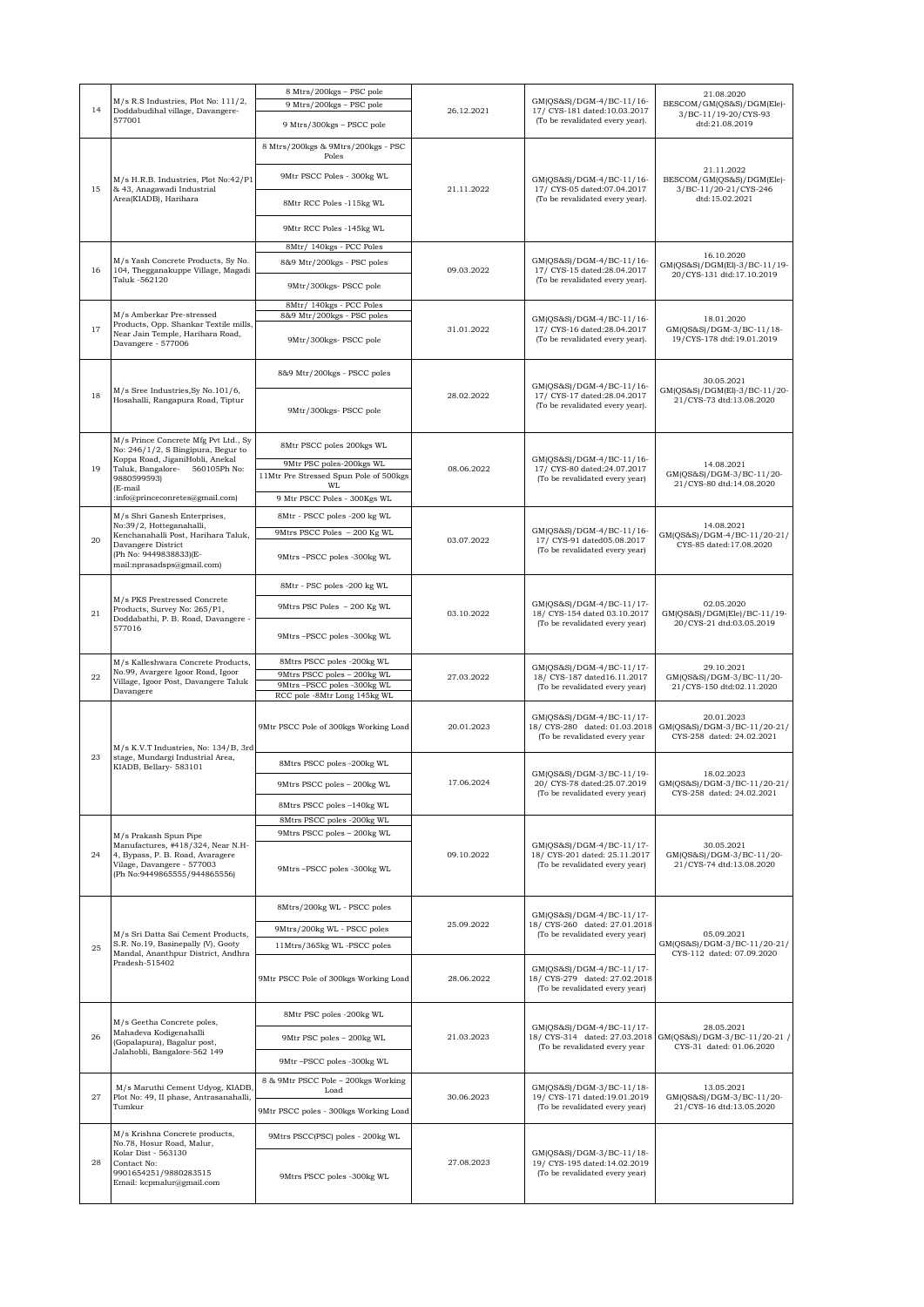| 14 | M/s R.S Industries, Plot No: 111/2,<br>Doddabudihal village, Davangere-<br>577001                                                                       | 8 Mtrs/200kgs - PSC pole<br>9 Mtrs/200kgs - PSC pole<br>9 Mtrs/300kgs - PSCC pole | 26.12.2021 | GM(QS&S)/DGM-4/BC-11/16-<br>17/ CYS-181 dated:10.03.2017<br>(To be revalidated every year). | 21.08.2020<br>BESCOM/GM(QS&S)/DGM(Ele)-<br>3/BC-11/19-20/CYS-93<br>dtd:21.08.2019 |
|----|---------------------------------------------------------------------------------------------------------------------------------------------------------|-----------------------------------------------------------------------------------|------------|---------------------------------------------------------------------------------------------|-----------------------------------------------------------------------------------|
|    |                                                                                                                                                         | 8 Mtrs/200kgs & 9Mtrs/200kgs - PSC                                                |            |                                                                                             |                                                                                   |
|    | M/s H.R.B. Industries, Plot No:42/P1<br>& 43, Anagawadi Industrial<br>Area(KIADB), Harihara                                                             | Poles<br>9Mtr PSCC Poles - 300kg WL                                               | 21.11.2022 | GM(QS&S)/DGM-4/BC-11/16-<br>17/ CYS-05 dated:07.04.2017<br>(To be revalidated every year).  | 21.11.2022<br>BESCOM/GM(QS&S)/DGM(Ele)-                                           |
| 15 |                                                                                                                                                         | 8Mtr RCC Poles -115kg WL                                                          |            |                                                                                             | 3/BC-11/20-21/CYS-246<br>dtd:15.02.2021                                           |
|    |                                                                                                                                                         | 9Mtr RCC Poles -145kg WL                                                          |            |                                                                                             |                                                                                   |
| 16 | M/s Yash Concrete Products, Sy No.<br>104, Thegganakuppe Village, Magadi<br>Taluk -562120                                                               | 8Mtr/ 140kgs - PCC Poles<br>8&9 Mtr/200kgs - PSC poles                            | 09.03.2022 | GM(QS&S)/DGM-4/BC-11/16-<br>17/ CYS-15 dated:28.04.2017<br>(To be revalidated every year).  | 16.10.2020<br>GM(QS&S)/DGM(El)-3/BC-11/19-<br>20/CYS-131 dtd:17.10.2019           |
|    |                                                                                                                                                         | 9Mtr/300kgs- PSCC pole                                                            |            |                                                                                             |                                                                                   |
|    |                                                                                                                                                         | 8Mtr/ 140kgs - PCC Poles                                                          |            |                                                                                             |                                                                                   |
| 17 | M/s Amberkar Pre-stressed<br>Products, Opp. Shankar Textile mills,<br>Near Jain Temple, Harihara Road,<br>Davangere - 577006                            | 8&9 Mtr/200kgs - PSC poles                                                        | 31.01.2022 | GM(QS&S)/DGM-4/BC-11/16-<br>17/ CYS-16 dated:28.04.2017                                     | 18.01.2020<br>GM(QS&S)/DGM-3/BC-11/18-<br>19/CYS-178 dtd:19.01.2019               |
|    |                                                                                                                                                         | 9Mtr/300kgs- PSCC pole                                                            |            | (To be revalidated every year).                                                             |                                                                                   |
|    |                                                                                                                                                         | 8&9 Mtr/200kgs - PSCC poles                                                       |            | GM(QS&S)/DGM-4/BC-11/16-                                                                    | 30.05.2021                                                                        |
| 18 | M/s Sree Industries, Sy No. 101/6,<br>Hosahalli, Rangapura Road, Tiptur                                                                                 | 9Mtr/300kgs- PSCC pole                                                            | 28.02.2022 | 17/ CYS-17 dated:28.04.2017<br>(To be revalidated every year).                              | GM(QS&S)/DGM(El)-3/BC-11/20-<br>21/CYS-73 dtd:13.08.2020                          |
|    | M/s Prince Concrete Mfg Pvt Ltd., Sy<br>No: 246/1/2, S Bingipura, Begur to                                                                              | 8Mtr PSCC poles 200kgs WL                                                         | 08.06.2022 |                                                                                             | 14.08.2021<br>GM(QS&S)/DGM-3/BC-11/20-<br>21/CYS-80 dtd:14.08.2020                |
| 19 | Koppa Road, JiganiHobli, Anekal<br>Taluk, Bangalore- 560105Ph No:<br>9880599593)                                                                        | 9Mtr PSC poles-200kgs WL<br>11Mtr Pre Stressed Spun Pole of 500kgs                |            | GM(QS&S)/DGM-4/BC-11/16-<br>17/ CYS-80 dated:24.07.2017<br>(To be revalidated every year)   |                                                                                   |
|    | (E-mail<br>:info@princeconretes@gmail.com)                                                                                                              | WL<br>9 Mtr PSCC Poles - 300Kgs WL                                                |            |                                                                                             |                                                                                   |
|    | M/s Shri Ganesh Enterprises,<br>No:39/2, Hotteganahalli,                                                                                                | 8Mtr - PSCC poles -200 kg WL                                                      |            |                                                                                             | 14.08.2021<br>GM(QS&S)/DGM-4/BC-11/20-21/<br>CYS-85 dated:17.08.2020              |
| 20 | Kenchanahalli Post, Harihara Taluk,<br>Davangere District                                                                                               | 9Mtrs PSCC Poles - 200 Kg WL                                                      | 03.07.2022 | GM(QS&S)/DGM-4/BC-11/16-<br>17/ CYS-91 dated05.08.2017<br>(To be revalidated every year)    |                                                                                   |
|    | (Ph No: 9449838833)(E-<br>mail:nprasadsps@gmail.com)                                                                                                    | 9Mtrs-PSCC poles -300kg WL                                                        |            |                                                                                             |                                                                                   |
|    | M/s PKS Prestressed Concrete<br>Products, Survey No: 265/P1,<br>Doddabathi, P. B. Road, Davangere -<br>577016                                           | 8Mtr - PSC poles -200 kg WL                                                       | 03.10.2022 | GM(QS&S)/DGM-4/BC-11/17-<br>18/ CYS-154 dated 03.10.2017<br>(To be revalidated every year)  | 02.05.2020<br>GM(QS&S)/DGM(Ele)/BC-11/19-<br>20/CYS-21 dtd:03.05.2019             |
| 21 |                                                                                                                                                         | 9Mtrs PSC Poles - 200 Kg WL                                                       |            |                                                                                             |                                                                                   |
|    |                                                                                                                                                         | 9Mtrs-PSCC poles -300kg WL                                                        |            |                                                                                             |                                                                                   |
|    | M/s Kalleshwara Concrete Products,<br>No.99, Avargere Igoor Road, Igoor<br>Village, Igoor Post, Davangere Taluk<br>Davangere                            | 8Mtrs PSCC poles -200kg WL<br>9Mtrs PSCC poles - 200kg WL                         | 27.03.2022 | GM(QS&S)/DGM-4/BC-11/17-<br>18/ CYS-187 dated16.11.2017<br>(To be revalidated every year)   | 29.10.2021<br>GM(QS&S)/DGM-3/BC-11/20-<br>21/CYS-150 dtd:02.11.2020               |
| 22 |                                                                                                                                                         | 9Mtrs-PSCC poles -300kg WL<br>RCC pole -8Mtr Long 145kg WL                        |            |                                                                                             |                                                                                   |
|    | M/s K.V.T Industries, No: 134/B, 3rd                                                                                                                    | 9Mtr PSCC Pole of 300kgs Working Load                                             | 20.01.2023 | GM(QS&S)/DGM-4/BC-11/17-<br>18/ CYS-280 dated: 01.03.2018<br>(To be revalidated every year  | 20.01.2023<br>GM(QS&S)/DGM-3/BC-11/20-21/<br>CYS-258 dated: 24.02.2021            |
| 23 | stage, Mundargi Industrial Area,<br>KIADB, Bellary- 583101                                                                                              | 8Mtrs PSCC poles -200kg WL                                                        | 17.06.2024 | GM(QS&S)/DGM-3/BC-11/19-<br>20/ CYS-78 dated:25.07.2019<br>(To be revalidated every year)   | 18.02.2023<br>GM(QS&S)/DGM-3/BC-11/20-21/<br>CYS-258 dated: 24.02.2021            |
|    |                                                                                                                                                         | 9Mtrs PSCC poles - 200kg WL                                                       |            |                                                                                             |                                                                                   |
|    |                                                                                                                                                         | 8Mtrs PSCC poles -140kg WL<br>8Mtrs PSCC poles -200kg WL                          |            |                                                                                             |                                                                                   |
|    | M/s Prakash Spun Pipe                                                                                                                                   | 9Mtrs PSCC poles - 200kg WL                                                       |            |                                                                                             |                                                                                   |
| 24 | Manufactures, #418/324, Near N.H-<br>4, Bypass, P. B. Road, Avaragere<br>Vilage, Davangere - 577003<br>(Ph No:9449865555/944865556)                     | 9Mtrs-PSCC poles -300kg WL                                                        | 09.10.2022 | GM(QS&S)/DGM-4/BC-11/17-<br>18/ CYS-201 dated: 25.11.2017<br>(To be revalidated every year) | 30.05.2021<br>GM(QS&S)/DGM-3/BC-11/20-<br>21/CYS-74 dtd:13.08.2020                |
|    |                                                                                                                                                         | 8Mtrs/200kg WL - PSCC poles                                                       |            | GM(QS&S)/DGM-4/BC-11/17-                                                                    |                                                                                   |
|    | M/s Sri Datta Sai Cement Products,                                                                                                                      | 9Mtrs/200kg WL - PSCC poles                                                       | 25.09.2022 | 18/ CYS-260 dated: 27.01.2018<br>(To be revalidated every year)                             | 05.09.2021                                                                        |
| 25 | S.R. No.19, Basinepally (V), Gooty<br>Mandal, Ananthpur District, Andhra                                                                                | 11Mtrs/365kg WL-PSCC poles                                                        |            |                                                                                             | GM(QS&S)/DGM-3/BC-11/20-21/<br>CYS-112 dated: 07.09.2020                          |
|    | Pradesh-515402                                                                                                                                          | 9Mtr PSCC Pole of 300kgs Working Load                                             | 28.06.2022 | GM(QS&S)/DGM-4/BC-11/17-<br>18/ CYS-279 dated: 27.02.2018<br>(To be revalidated every year) |                                                                                   |
| 26 | M/s Geetha Concrete poles,                                                                                                                              | 8Mtr PSC poles -200kg WL                                                          | 21.03.2023 | GM(QS&S)/DGM-4/BC-11/17-<br>18/ CYS-314 dated: 27.03.2018<br>(To be revalidated every year  | 28.05.2021<br>GM(QS&S)/DGM-3/BC-11/20-21/<br>CYS-31 dated: 01.06.2020             |
|    | Mahadeva Kodigenahalli<br>(Gopalapura), Bagalur post,<br>Jalahobli, Bangalore-562 149                                                                   | 9Mtr PSC poles - 200kg WL                                                         |            |                                                                                             |                                                                                   |
|    |                                                                                                                                                         | 9Mtr-PSCC poles -300kg WL                                                         |            |                                                                                             |                                                                                   |
|    | M/s Maruthi Cement Udyog, KIADB,<br>Plot No: 49, II phase, Antrasanahalli,<br>Tumkur                                                                    | 8 & 9Mtr PSCC Pole - 200kgs Working<br>Load                                       | 30.06.2023 | GM(QS&S)/DGM-3/BC-11/18-<br>19/ CYS-171 dated:19.01.2019<br>(To be revalidated every year)  | 13.05.2021                                                                        |
| 27 |                                                                                                                                                         | 9Mtr PSCC poles - 300kgs Working Load                                             |            |                                                                                             | GM(QS&S)/DGM-3/BC-11/20-<br>21/CYS-16 dtd:13.05.2020                              |
| 28 | M/s Krishna Concrete products,<br>No.78, Hosur Road, Malur,<br>Kolar Dist - 563130<br>Contact No:<br>9901654251/9880283515<br>Email: kcpmalur@gmail.com | 9Mtrs PSCC(PSC) poles - 200kg WL                                                  | 27.08.2023 | GM(QS&S)/DGM-3/BC-11/18-<br>19/ CYS-195 dated:14.02.2019<br>(To be revalidated every year)  |                                                                                   |
|    |                                                                                                                                                         | 9Mtrs PSCC poles -300kg WL                                                        |            |                                                                                             |                                                                                   |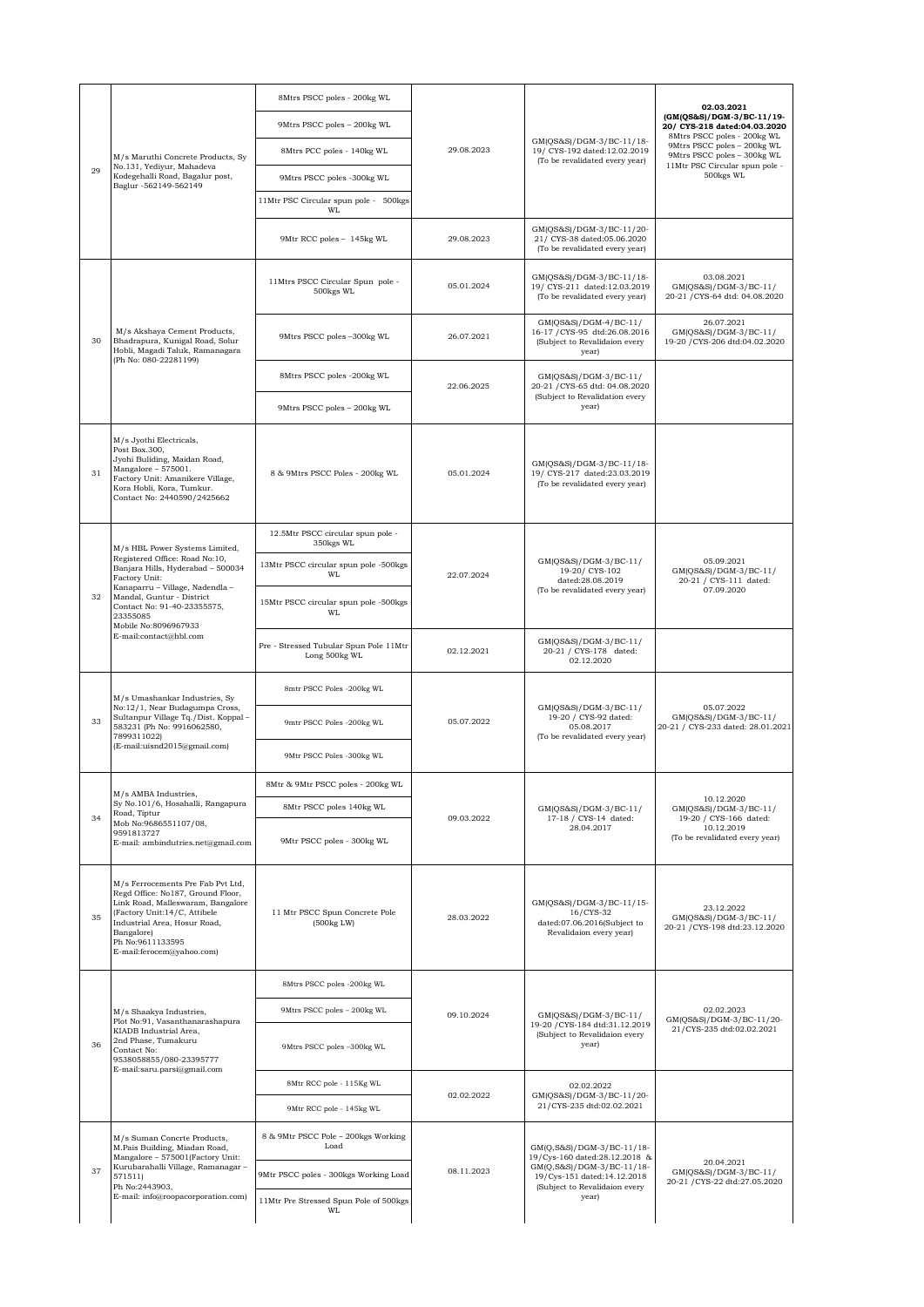| 29 | M/s Maruthi Concrete Products, Sy<br>No.131, Yediyur, Mahadeva<br>Kodegehalli Road, Bagalur post,<br>Baglur -562149-562149                                                                                                                                                          | 8Mtrs PSCC poles - 200kg WL                             | 29.08.2023 | GM(QS&S)/DGM-3/BC-11/18-<br>19/ CYS-192 dated:12.02.2019<br>(To be revalidated every year)         | 02.03.2021                                                                                                                                             |
|----|-------------------------------------------------------------------------------------------------------------------------------------------------------------------------------------------------------------------------------------------------------------------------------------|---------------------------------------------------------|------------|----------------------------------------------------------------------------------------------------|--------------------------------------------------------------------------------------------------------------------------------------------------------|
|    |                                                                                                                                                                                                                                                                                     | 9Mtrs PSCC poles - 200kg WL                             |            |                                                                                                    | (GM(QS&S)/DGM-3/BC-11/19-<br>20/ CYS-218 dated:04.03.2020<br>8Mtrs PSCC poles - 200kg WL<br>9Mtrs PSCC poles - 200kg WL<br>9Mtrs PSCC poles - 300kg WL |
|    |                                                                                                                                                                                                                                                                                     | 8Mtrs PCC poles - 140kg WL                              |            |                                                                                                    |                                                                                                                                                        |
|    |                                                                                                                                                                                                                                                                                     | 9Mtrs PSCC poles -300kg WL                              |            |                                                                                                    | 11Mtr PSC Circular spun pole -<br>500kgs WL                                                                                                            |
|    |                                                                                                                                                                                                                                                                                     | 11Mtr PSC Circular spun pole - 500kgs<br>WL             |            |                                                                                                    |                                                                                                                                                        |
|    |                                                                                                                                                                                                                                                                                     | 9Mtr RCC poles - 145kg WL                               | 29.08.2023 | GM(QS&S)/DGM-3/BC-11/20-<br>21/ CYS-38 dated:05.06.2020<br>(To be revalidated every year)          |                                                                                                                                                        |
| 30 | M/s Akshaya Cement Products,<br>Bhadrapura, Kunigal Road, Solur<br>Hobli, Magadi Taluk, Ramanagara<br>(Ph No: 080-22281199)                                                                                                                                                         | 11Mtrs PSCC Circular Spun pole -<br>500kgs WL           | 05.01.2024 | GM(QS&S)/DGM-3/BC-11/18-<br>19/ CYS-211 dated:12.03.2019<br>(To be revalidated every year)         | 03.08.2021<br>GM(QS&S)/DGM-3/BC-11/<br>20-21 / CYS-64 dtd: 04.08.2020                                                                                  |
|    |                                                                                                                                                                                                                                                                                     | 9Mtrs PSCC poles -300kg WL                              | 26.07.2021 | GM(QS&S)/DGM-4/BC-11/<br>16-17 / CYS-95 dtd:26.08.2016<br>(Subject to Revalidaion every<br>year)   | 26.07.2021<br>GM(QS&S)/DGM-3/BC-11/<br>19-20 / CYS-206 dtd:04.02.2020                                                                                  |
|    |                                                                                                                                                                                                                                                                                     | 8Mtrs PSCC poles -200kg WL                              | 22.06.2025 | GM(QS&S)/DGM-3/BC-11/<br>20-21 / CYS-65 dtd: 04.08.2020<br>(Subject to Revalidation every<br>year) |                                                                                                                                                        |
|    |                                                                                                                                                                                                                                                                                     | 9Mtrs PSCC poles - 200kg WL                             |            |                                                                                                    |                                                                                                                                                        |
| 31 | M/s Jyothi Electricals.<br>Post Box.300.<br>Jyohi Buliding, Maidan Road,<br>Mangalore - 575001.<br>Factory Unit: Amanikere Village,<br>Kora Hobli, Kora, Tumkur.<br>Contact No: 2440590/2425662                                                                                     | 8 & 9Mtrs PSCC Poles - 200kg WL                         | 05.01.2024 | GM(QS&S)/DGM-3/BC-11/18-<br>19/ CYS-217 dated:23.03.2019<br>(To be revalidated every year)         |                                                                                                                                                        |
|    |                                                                                                                                                                                                                                                                                     | 12.5Mtr PSCC circular spun pole -<br>350kgs WL          |            |                                                                                                    |                                                                                                                                                        |
|    | M/s HBL Power Systems Limited,<br>Registered Office: Road No:10,<br>Banjara Hills, Hyderabad - 500034<br>Factory Unit:<br>Kanaparru - Village, Nadendla -<br>Mandal, Guntur - District<br>Contact No: 91-40-23355575,<br>23355085<br>Mobile No:8096967933<br>E-mail:contact@hbl.com | 13Mtr PSCC circular spun pole -500kgs<br>WL             | 22.07.2024 | GM(QS&S)/DGM-3/BC-11/<br>19-20/ CYS-102<br>dated:28.08.2019<br>(To be revalidated every year)      | 05.09.2021<br>GM(QS&S)/DGM-3/BC-11/<br>20-21 / CYS-111 dated:                                                                                          |
| 32 |                                                                                                                                                                                                                                                                                     | 15Mtr PSCC circular spun pole -500kgs<br>WL             |            |                                                                                                    | 07.09.2020                                                                                                                                             |
|    |                                                                                                                                                                                                                                                                                     | Pre - Stressed Tubular Spun Pole 11Mtr<br>Long 500kg WL | 02.12.2021 | GM(QS&S)/DGM-3/BC-11/<br>20-21 / CYS-178 dated:<br>02.12.2020                                      |                                                                                                                                                        |
|    | M/s Umashankar Industries, Sy<br>No:12/1, Near Budagumpa Cross,<br>Sultanpur Village Tq./Dist. Koppal-<br>583231 (Ph No: 9916062580,<br>7899311022)<br>(E-mail:uisnd2015@gmail.com)                                                                                                 | 8mtr PSCC Poles -200kg WL                               | 05.07.2022 | GM(QS&S)/DGM-3/BC-11/<br>19-20 / CYS-92 dated:<br>05.08.2017<br>(To be revalidated every year)     |                                                                                                                                                        |
| 33 |                                                                                                                                                                                                                                                                                     | 9mtr PSCC Poles -200kg WL                               |            |                                                                                                    | 05.07.2022<br>GM(QS&S)/DGM-3/BC-11/<br>20-21 / CYS-233 dated: 28.01.2021                                                                               |
|    |                                                                                                                                                                                                                                                                                     | 9Mtr PSCC Poles -300kg WL                               |            |                                                                                                    |                                                                                                                                                        |
|    | M/s AMBA Industries,<br>Sy No.101/6, Hosahalli, Rangapura<br>Road, Tiptur<br>Mob No:9686551107/08,<br>9591813727<br>E-mail: ambindutries.net@gmail.com                                                                                                                              | 8Mtr & 9Mtr PSCC poles - 200kg WL                       | 09.03.2022 | GM(QS&S)/DGM-3/BC-11/<br>17-18 / CYS-14 dated:                                                     | 10.12.2020                                                                                                                                             |
| 34 |                                                                                                                                                                                                                                                                                     | 8Mtr PSCC poles 140kg WL                                |            |                                                                                                    | GM(QS&S)/DGM-3/BC-11/<br>19-20 / CYS-166 dated:                                                                                                        |
|    |                                                                                                                                                                                                                                                                                     | 9Mtr PSCC poles - 300kg WL                              |            | 28.04.2017                                                                                         | 10.12.2019<br>(To be revalidated every year)                                                                                                           |
| 35 | M/s Ferrocements Pre Fab Pvt Ltd,<br>Regd Office: No187, Ground Floor,<br>Link Road, Malleswaram, Bangalore<br>(Factory Unit:14/C, Attibele<br>Industrial Area, Hosur Road,<br>Bangalore)<br>Ph No:9611133595<br>E-mail:ferocem@yahoo.com)                                          | 11 Mtr PSCC Spun Concrete Pole<br>(500kg LW)            | 28.03.2022 | GM(QS&S)/DGM-3/BC-11/15-<br>16/CYS-32<br>dated:07.06.2016(Subject to<br>Revalidaion every year)    | 23.12.2022<br>GM(QS&S)/DGM-3/BC-11/<br>20-21 / CYS-198 dtd:23.12.2020                                                                                  |
| 36 |                                                                                                                                                                                                                                                                                     | 8Mtrs PSCC poles -200kg WL                              | 09.10.2024 | GM(QS&S)/DGM-3/BC-11/<br>19-20 / CYS-184 dtd:31.12.2019<br>(Subject to Revalidaion every<br>year)  |                                                                                                                                                        |
|    | M/s Shaakya Industries,<br>Plot No:91, Vasanthanarashapura<br>KIADB Industrial Area,<br>2nd Phase, Tumakuru<br>Contact No:<br>9538058855/080-23395777<br>E-mail:saru.parsi@gmail.com                                                                                                | 9Mtrs PSCC poles - 200kg WL                             |            |                                                                                                    | 02.02.2023<br>GM(QS&S)/DGM-3/BC-11/20-                                                                                                                 |
|    |                                                                                                                                                                                                                                                                                     | 9Mtrs PSCC poles -300kg WL                              |            |                                                                                                    | 21/CYS-235 dtd:02.02.2021                                                                                                                              |
|    |                                                                                                                                                                                                                                                                                     | 8Mtr RCC pole - 115Kg WL                                | 02.02.2022 | 02.02.2022<br>GM(QS&S)/DGM-3/BC-11/20-<br>21/CYS-235 dtd:02.02.2021                                |                                                                                                                                                        |
|    |                                                                                                                                                                                                                                                                                     | 9Mtr RCC pole - 145kg WL                                |            |                                                                                                    |                                                                                                                                                        |
| 37 | M/s Suman Concrte Products,<br>M.Pais Building, Miadan Road,<br>Mangalore - 575001(Factory Unit:<br>Kurubarahalli Village, Ramanagar -<br>571511)<br>Ph No:2443903,<br>E-mail: info@roopacorporation.com)                                                                           | 8 & 9Mtr PSCC Pole - 200kgs Working<br>Load             | 08.11.2023 | GM(Q,S&S)/DGM-3/BC-11/18-                                                                          |                                                                                                                                                        |
|    |                                                                                                                                                                                                                                                                                     | 9Mtr PSCC poles - 300kgs Working Load                   |            | 19/Cys-160 dated:28.12.2018 &<br>GM(Q,S&S)/DGM-3/BC-11/18-<br>19/Cys-151 dated:14.12.2018          | 20.04.2021<br>GM(QS&S)/DGM-3/BC-11/<br>20-21 / CYS-22 dtd:27.05.2020                                                                                   |
|    |                                                                                                                                                                                                                                                                                     | 11Mtr Pre Stressed Spun Pole of 500kgs<br>WI.           |            | (Subject to Revalidaion every<br>year)                                                             |                                                                                                                                                        |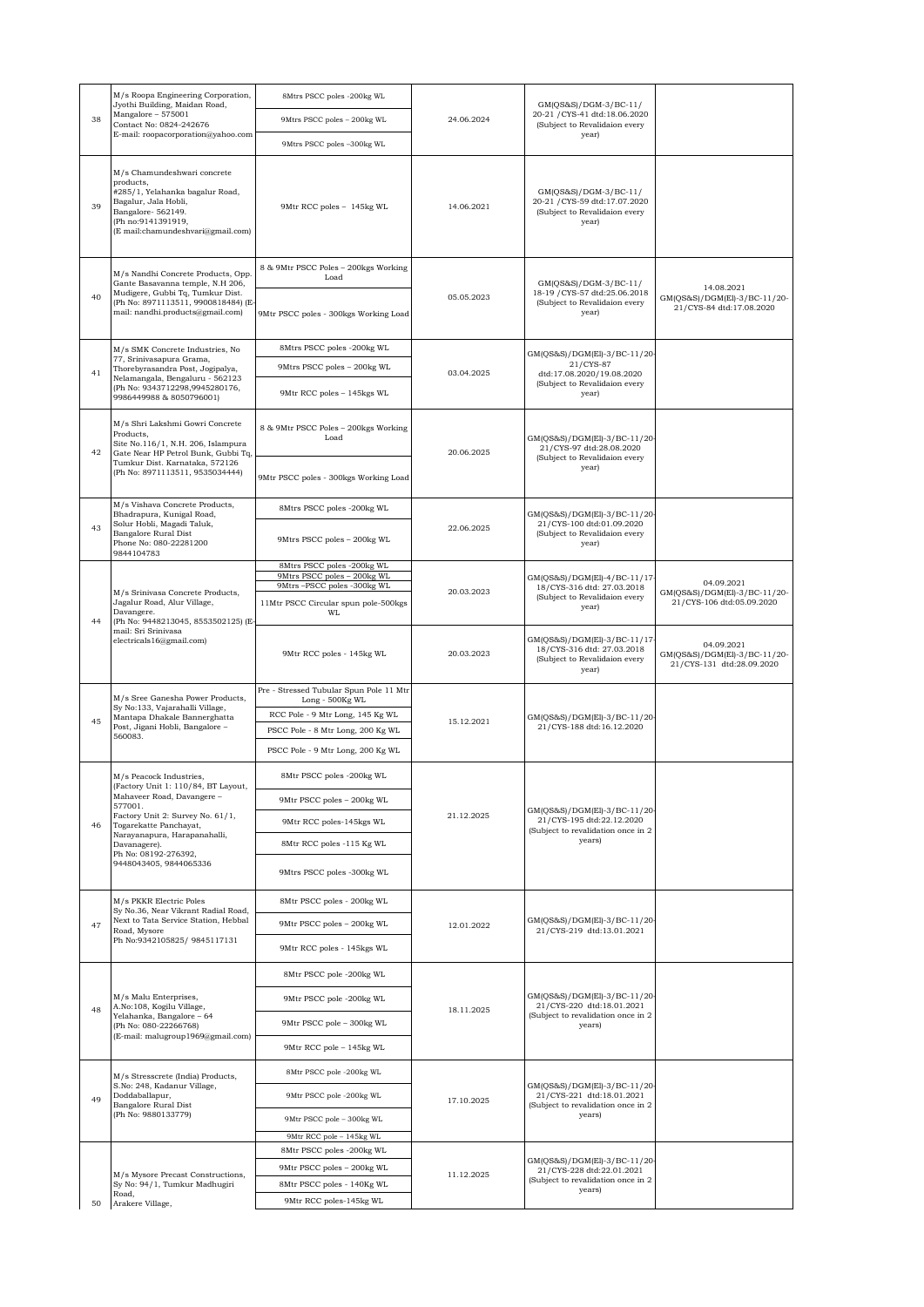| 38 | M/s Roopa Engineering Corporation,<br>Jyothi Building, Maidan Road,<br>Mangalore - 575001<br>Contact No: 0824-242676<br>E-mail: roopacorporation@yahoo.com                                                                                   | 8Mtrs PSCC poles -200kg WL                                                                     | 24.06.2024 | GM(QS&S)/DGM-3/BC-11/<br>20-21 / CYS-41 dtd:18.06.2020<br>(Subject to Revalidaion every<br>year)         |                                                                         |
|----|----------------------------------------------------------------------------------------------------------------------------------------------------------------------------------------------------------------------------------------------|------------------------------------------------------------------------------------------------|------------|----------------------------------------------------------------------------------------------------------|-------------------------------------------------------------------------|
|    |                                                                                                                                                                                                                                              | 9Mtrs PSCC poles - 200kg WL                                                                    |            |                                                                                                          |                                                                         |
|    |                                                                                                                                                                                                                                              | 9Mtrs PSCC poles -300kg WL                                                                     |            |                                                                                                          |                                                                         |
| 39 | M/s Chamundeshwari concrete<br>products.<br>#285/1, Yelahanka bagalur Road,<br>Bagalur, Jala Hobli,<br>Bangalore-562149.<br>(Ph no:9141391919,<br>(E mail:chamundeshvari@gmail.com)                                                          | 9Mtr RCC poles - 145kg WL                                                                      | 14.06.2021 | $GM(QS&S)/DGM-3/BC-11/$<br>20-21 / CYS-59 dtd:17.07.2020<br>(Subject to Revalidaion every<br>year)       |                                                                         |
|    | M/s Nandhi Concrete Products, Opp.<br>Gante Basavanna temple, N.H 206,<br>Mudigere, Gubbi Tq, Tumkur Dist.<br>(Ph No: 8971113511, 9900818484) (E-<br>mail: nandhi.products@gmail.com)                                                        | 8 & 9Mtr PSCC Poles - 200kgs Working<br>Load                                                   |            |                                                                                                          |                                                                         |
| 40 |                                                                                                                                                                                                                                              | 9Mtr PSCC poles - 300kgs Working Load                                                          | 05.05.2023 | GM(QS&S)/DGM-3/BC-11/<br>18-19 / CYS-57 dtd:25.06.2018<br>(Subject to Revalidaion every<br>year)         | 14.08.2021<br>GM(QS&S)/DGM(El)-3/BC-11/20-<br>21/CYS-84 dtd:17.08.2020  |
|    | M/s SMK Concrete Industries, No                                                                                                                                                                                                              | 8Mtrs PSCC poles -200kg WL                                                                     |            | GM(QS&S)/DGM(El)-3/BC-11/20                                                                              |                                                                         |
| 41 | 77, Srinivasapura Grama,<br>Thorebyrasandra Post, Jogipalya,<br>Nelamangala, Bengaluru - 562123                                                                                                                                              | 9Mtrs PSCC poles - 200kg WL                                                                    | 03.04.2025 | 21/CYS-87<br>dtd:17.08.2020/19.08.2020<br>(Subject to Revalidaion every<br>year)                         |                                                                         |
|    | (Ph No: 9343712298,9945280176,<br>9986449988 & 8050796001)                                                                                                                                                                                   | 9Mtr RCC poles - 145kgs WL                                                                     |            |                                                                                                          |                                                                         |
| 42 | M/s Shri Lakshmi Gowri Concrete<br>Products,<br>Site No.116/1, N.H. 206, Islampura<br>Gate Near HP Petrol Bunk, Gubbi Tq,                                                                                                                    | 8 & 9Mtr PSCC Poles - 200kgs Working<br>Load                                                   | 20.06.2025 | GM(QS&S)/DGM(El)-3/BC-11/20-<br>21/CYS-97 dtd:28.08.2020<br>(Subject to Revalidaion every<br>year)       |                                                                         |
|    | Tumkur Dist. Karnataka, 572126<br>(Ph No: 8971113511, 9535034444)                                                                                                                                                                            | 9Mtr PSCC poles - 300kgs Working Load                                                          |            |                                                                                                          |                                                                         |
|    | M/s Vishava Concrete Products,<br>Bhadrapura, Kunigal Road,                                                                                                                                                                                  | 8Mtrs PSCC poles -200kg WL                                                                     |            | GM(QS&S)/DGM(El)-3/BC-11/20                                                                              |                                                                         |
| 43 | Solur Hobli, Magadi Taluk,<br>Bangalore Rural Dist<br>Phone No: 080-22281200<br>9844104783                                                                                                                                                   | 9Mtrs PSCC poles - 200kg WL                                                                    | 22.06.2025 | 21/CYS-100 dtd:01.09.2020<br>(Subject to Revalidaion every<br>year)                                      |                                                                         |
|    |                                                                                                                                                                                                                                              | 8Mtrs PSCC poles -200kg WL<br>9Mtrs PSCC poles - 200kg WL<br>9Mtrs-PSCC poles -300kg WL        | 20.03.2023 | GM(QS&S)/DGM(El)-4/BC-11/17<br>18/CYS-316 dtd: 27.03.2018<br>(Subject to Revalidaion every<br>year)      | 04.09.2021                                                              |
|    | M/s Srinivasa Concrete Products,<br>Jagalur Road, Alur Village,<br>Davangere.                                                                                                                                                                | 11Mtr PSCC Circular spun pole-500kgs<br>WL                                                     |            |                                                                                                          | GM(QS&S)/DGM(El)-3/BC-11/20-<br>21/CYS-106 dtd:05.09.2020               |
| 44 | (Ph No: 9448213045, 8553502125) (E-<br>mail: Sri Srinivasa<br>electricals16@gmail.com)                                                                                                                                                       | 9Mtr RCC poles - 145kg WL                                                                      | 20.03.2023 | GM(QS&S)/DGM(El)-3/BC-11/17<br>18/CYS-316 dtd: 27.03.2018<br>(Subject to Revalidaion every<br>year)      | 04.09.2021<br>GM(QS&S)/DGM(El)-3/BC-11/20-<br>21/CYS-131 dtd:28.09.2020 |
| 45 | M/s Sree Ganesha Power Products,<br>Sy No:133, Vajarahalli Village,<br>Mantapa Dhakale Bannerghatta<br>Post, Jigani Hobli, Bangalore -<br>560083.                                                                                            | Pre - Stressed Tubular Spun Pole 11 Mtr<br>Long - 500Kg WL<br>RCC Pole - 9 Mtr Long, 145 Kg WL | 15.12.2021 | GM(QS&S)/DGM(El)-3/BC-11/20<br>21/CYS-188 dtd:16.12.2020                                                 |                                                                         |
|    |                                                                                                                                                                                                                                              | PSCC Pole - 8 Mtr Long, 200 Kg WL<br>PSCC Pole - 9 Mtr Long, 200 Kg WL                         |            |                                                                                                          |                                                                         |
|    | M/s Peacock Industries.                                                                                                                                                                                                                      | 8Mtr PSCC poles -200kg WL                                                                      |            |                                                                                                          |                                                                         |
|    | (Factory Unit 1: 110/84, BT Layout,<br>Mahaveer Road, Davangere -<br>577001.<br>Factory Unit 2: Survey No. 61/1,<br>Togarekatte Panchayat,<br>Narayanapura, Harapanahalli,<br>Davanagere).<br>Ph No: 08192-276392,<br>9448043405, 9844065336 | 9Mtr PSCC poles - 200kg WL                                                                     | 21.12.2025 | GM(QS&S)/DGM(El)-3/BC-11/20-<br>21/CYS-195 dtd:22.12.2020                                                |                                                                         |
| 46 |                                                                                                                                                                                                                                              | 9Mtr RCC poles-145kgs WL                                                                       |            |                                                                                                          |                                                                         |
|    |                                                                                                                                                                                                                                              | 8Mtr RCC poles -115 Kg WL                                                                      |            | (Subject to revalidation once in 2<br>years)                                                             |                                                                         |
|    |                                                                                                                                                                                                                                              | 9Mtrs PSCC poles -300kg WL                                                                     |            |                                                                                                          |                                                                         |
|    | M/s PKKR Electric Poles                                                                                                                                                                                                                      | 8Mtr PSCC poles - 200kg WL                                                                     |            |                                                                                                          |                                                                         |
| 47 | Sy No.36, Near Vikrant Radial Road,<br>Next to Tata Service Station, Hebbal<br>Road, Mysore<br>Ph No:9342105825/ 9845117131                                                                                                                  | 9Mtr PSCC poles - 200kg WL                                                                     |            | GM(QS&S)/DGM(El)-3/BC-11/20-                                                                             |                                                                         |
|    |                                                                                                                                                                                                                                              | 9Mtr RCC poles - 145kgs WL                                                                     | 12.01.2022 | 21/CYS-219 dtd:13.01.2021                                                                                |                                                                         |
| 48 | M/s Malu Enterprises,<br>A.No:108, Kogilu Village,<br>Yelahanka, Bangalore - 64<br>(Ph No: 080-22266768)<br>(E-mail: malugroup1969@gmail.com)                                                                                                | 8Mtr PSCC pole -200kg WL                                                                       | 18.11.2025 | GM(QS&S)/DGM(El)-3/BC-11/20<br>21/CYS-220 dtd:18.01.2021<br>(Subject to revalidation once in 2<br>years) |                                                                         |
|    |                                                                                                                                                                                                                                              | 9Mtr PSCC pole -200kg WL                                                                       |            |                                                                                                          |                                                                         |
|    |                                                                                                                                                                                                                                              | 9Mtr PSCC pole - 300kg WL                                                                      |            |                                                                                                          |                                                                         |
|    |                                                                                                                                                                                                                                              | 9Mtr RCC pole - 145kg WL                                                                       |            |                                                                                                          |                                                                         |
| 49 | M/s Stresscrete (India) Products,<br>S.No: 248, Kadanur Village,<br>Doddaballapur,<br>Bangalore Rural Dist<br>(Ph No: 9880133779)                                                                                                            | 8Mtr PSCC pole -200kg WL                                                                       |            |                                                                                                          |                                                                         |
|    |                                                                                                                                                                                                                                              | 9Mtr PSCC pole -200kg WL                                                                       |            | GM(QS&S)/DGM(El)-3/BC-11/20-<br>21/CYS-221 dtd:18.01.2021                                                |                                                                         |
|    |                                                                                                                                                                                                                                              | 9Mtr PSCC pole - 300kg WL                                                                      | 17.10.2025 | (Subject to revalidation once in 2<br>years)                                                             |                                                                         |
|    |                                                                                                                                                                                                                                              | 9Mtr RCC pole - 145kg WL                                                                       |            |                                                                                                          |                                                                         |
|    |                                                                                                                                                                                                                                              | 8Mtr PSCC poles -200kg WL<br>9Mtr PSCC poles - 200kg WL                                        |            | GM(QS&S)/DGM(El)-3/BC-11/20-                                                                             |                                                                         |
|    | M/s Mysore Precast Constructions,<br>Sy No: 94/1, Tumkur Madhugiri                                                                                                                                                                           | 8Mtr PSCC poles - 140Kg WL                                                                     | 11.12.2025 | 21/CYS-228 dtd:22.01.2021<br>(Subject to revalidation once in 2                                          |                                                                         |
| 50 | Road,<br>Arakere Village,                                                                                                                                                                                                                    | 9Mtr RCC poles-145kg WL                                                                        |            | years)                                                                                                   |                                                                         |